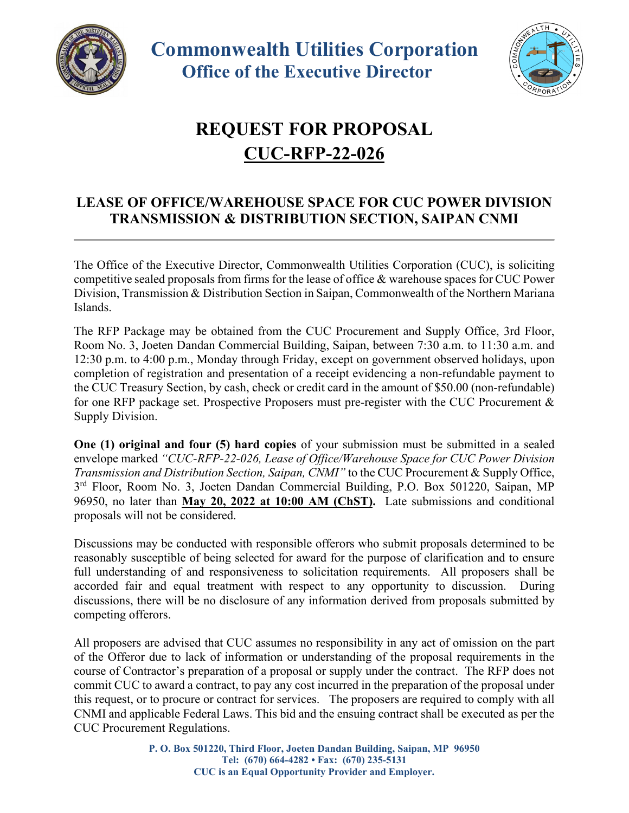



## **REQUEST FOR PROPOSAL CUC-RFP-22-026**

## **LEASE OF OFFICE/WAREHOUSE SPACE FOR CUC POWER DIVISION TRANSMISSION & DISTRIBUTION SECTION, SAIPAN CNMI**

The Office of the Executive Director, Commonwealth Utilities Corporation (CUC), is soliciting competitive sealed proposals from firms for the lease of office & warehouse spaces for CUC Power Division, Transmission & Distribution Section in Saipan, Commonwealth of the Northern Mariana Islands.

The RFP Package may be obtained from the CUC Procurement and Supply Office, 3rd Floor, Room No. 3, Joeten Dandan Commercial Building, Saipan, between 7:30 a.m. to 11:30 a.m. and 12:30 p.m. to 4:00 p.m., Monday through Friday, except on government observed holidays, upon completion of registration and presentation of a receipt evidencing a non-refundable payment to the CUC Treasury Section, by cash, check or credit card in the amount of \$50.00 (non-refundable) for one RFP package set. Prospective Proposers must pre-register with the CUC Procurement & Supply Division.

**One (1) original and four (5) hard copies** of your submission must be submitted in a sealed envelope marked *"CUC-RFP-22-026, Lease of Office/Warehouse Space for CUC Power Division Transmission and Distribution Section, Saipan, CNMI"* to the CUC Procurement & Supply Office, 3<sup>rd</sup> Floor, Room No. 3, Joeten Dandan Commercial Building, P.O. Box 501220, Saipan, MP 96950, no later than **May 20, 2022 at 10:00 AM (ChST).** Late submissions and conditional proposals will not be considered.

Discussions may be conducted with responsible offerors who submit proposals determined to be reasonably susceptible of being selected for award for the purpose of clarification and to ensure full understanding of and responsiveness to solicitation requirements. All proposers shall be accorded fair and equal treatment with respect to any opportunity to discussion. During discussions, there will be no disclosure of any information derived from proposals submitted by competing offerors.

All proposers are advised that CUC assumes no responsibility in any act of omission on the part of the Offeror due to lack of information or understanding of the proposal requirements in the course of Contractor's preparation of a proposal or supply under the contract. The RFP does not commit CUC to award a contract, to pay any cost incurred in the preparation of the proposal under this request, or to procure or contract for services. The proposers are required to comply with all CNMI and applicable Federal Laws. This bid and the ensuing contract shall be executed as per the CUC Procurement Regulations.

> **P. O. Box 501220, Third Floor, Joeten Dandan Building, Saipan, MP 96950 Tel: (670) 664-4282 • Fax: (670) 235-5131 CUC is an Equal Opportunity Provider and Employer.**